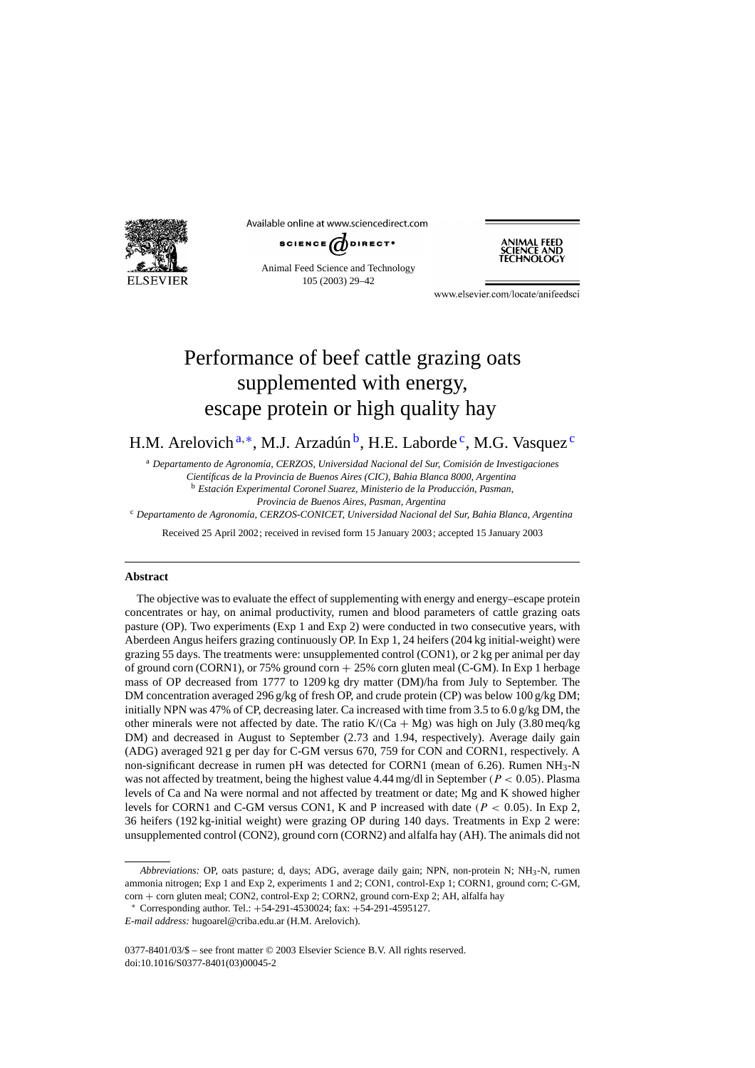

Available online at www.sciencedirect.com



Animal Feed Science and Technology 105 (2003) 29–42



www.elsevier.com/locate/anifeedsci

# Performance of beef cattle grazing oats supplemented with energy, escape protein or high quality hay

H.M. Arelovich  $a^*$ , M.J. Arzadún  $b$ , H.E. Laborde <sup>c</sup>, M.G. Vasquez <sup>c</sup>

<sup>a</sup> *Departamento de Agronom´ıa, CERZOS, Universidad Nacional del Sur, Comisión de Investigaciones Cient´ıficas de la Provincia de Buenos Aires (CIC), Bahia Blanca 8000, Argentina* <sup>b</sup> *Estación Experimental Coronel Suarez, Ministerio de la Producción, Pasman, Provincia de Buenos Aires, Pasman, Argentina* <sup>c</sup> *Departamento de Agronom´ıa, CERZOS-CONICET, Universidad Nacional del Sur, Bahia Blanca, Argentina*

Received 25 April 2002; received in revised form 15 January 2003; accepted 15 January 2003

#### **Abstract**

The objective was to evaluate the effect of supplementing with energy and energy–escape protein concentrates or hay, on animal productivity, rumen and blood parameters of cattle grazing oats pasture (OP). Two experiments (Exp 1 and Exp 2) were conducted in two consecutive years, with Aberdeen Angus heifers grazing continuously OP. In Exp 1, 24 heifers (204 kg initial-weight) were grazing 55 days. The treatments were: unsupplemented control (CON1), or 2 kg per animal per day of ground corn (CORN1), or 75% ground corn + 25% corn gluten meal (C-GM). In Exp 1 herbage mass of OP decreased from 1777 to 1209 kg dry matter (DM)/ha from July to September. The DM concentration averaged 296 g/kg of fresh OP, and crude protein (CP) was below 100 g/kg DM; initially NPN was 47% of CP, decreasing later. Ca increased with time from 3.5 to 6.0 g/kg DM, the other minerals were not affected by date. The ratio  $K/(Ca + Mg)$  was high on July (3.80 meq/kg) DM) and decreased in August to September (2.73 and 1.94, respectively). Average daily gain (ADG) averaged 921 g per day for C-GM versus 670, 759 for CON and CORN1, respectively. A non-significant decrease in rumen pH was detected for CORN1 (mean of 6.26). Rumen  $NH_3-N$ was not affected by treatment, being the highest value 4.44 mg/dl in September ( $P < 0.05$ ). Plasma levels of Ca and Na were normal and not affected by treatment or date; Mg and K showed higher levels for CORN1 and C-GM versus CON1, K and P increased with date ( $P < 0.05$ ). In Exp 2, 36 heifers (192 kg-initial weight) were grazing OP during 140 days. Treatments in Exp 2 were: unsupplemented control (CON2), ground corn (CORN2) and alfalfa hay (AH). The animals did not

*Abbreviations:* OP, oats pasture; d, days; ADG, average daily gain; NPN, non-protein N; NH3-N, rumen ammonia nitrogen; Exp 1 and Exp 2, experiments 1 and 2; CON1, control-Exp 1; CORN1, ground corn; C-GM, corn + corn gluten meal; CON2, control-Exp 2; CORN2, ground corn-Exp 2; AH, alfalfa hay

<sup>∗</sup> Corresponding author. Tel.: +54-291-4530024; fax: +54-291-4595127.

*E-mail address:* hugoarel@criba.edu.ar (H.M. Arelovich).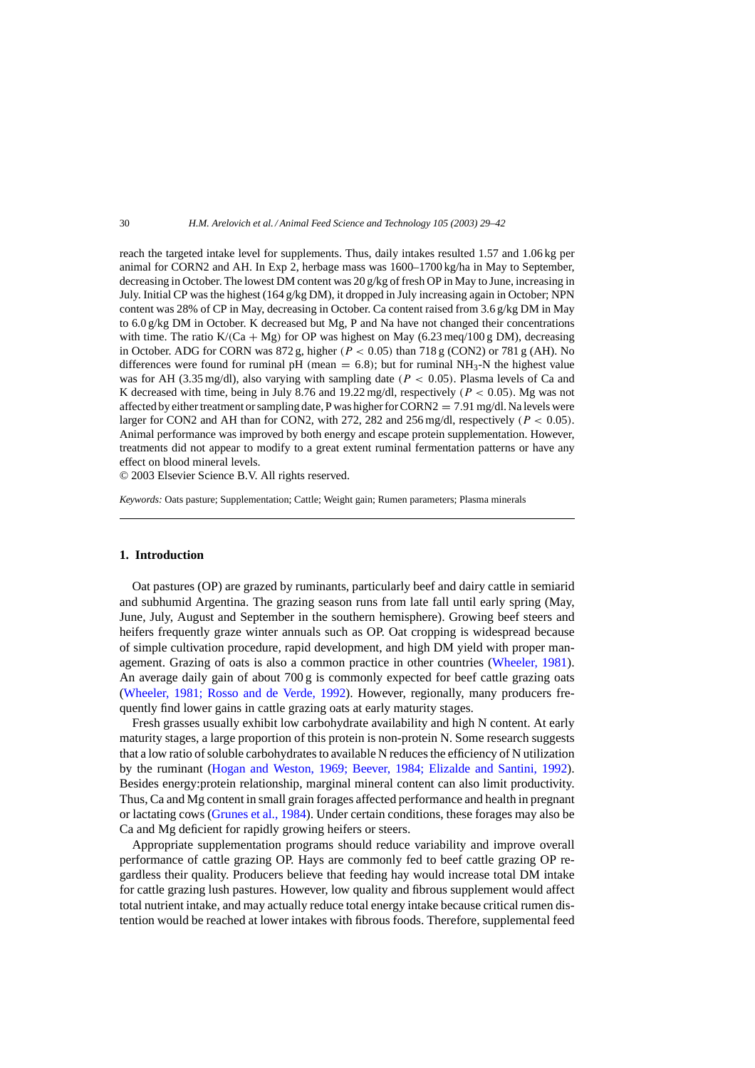reach the targeted intake level for supplements. Thus, daily intakes resulted 1.57 and 1.06 kg per animal for CORN2 and AH. In Exp 2, herbage mass was 1600–1700 kg/ha in May to September, decreasing in October. The lowest DM content was 20 g/kg of fresh OP in May to June, increasing in July. Initial CP was the highest (164 g/kg DM), it dropped in July increasing again in October; NPN content was 28% of CP in May, decreasing in October. Ca content raised from 3.6 g/kg DM in May to 6.0 g/kg DM in October. K decreased but Mg, P and Na have not changed their concentrations with time. The ratio K/(Ca + Mg) for OP was highest on May (6.23 meq/100 g DM), decreasing in October. ADG for CORN was  $872 g$ , higher ( $P < 0.05$ ) than  $718 g$  (CON2) or 781 g (AH). No differences were found for ruminal pH (mean  $= 6.8$ ); but for ruminal NH<sub>3</sub>-N the highest value was for AH (3.35 mg/dl), also varying with sampling date ( $P < 0.05$ ). Plasma levels of Ca and K decreased with time, being in July 8.76 and 19.22 mg/dl, respectively ( $P < 0.05$ ). Mg was not affected by either treatment or sampling date, P was higher for CORN2 =  $7.91$  mg/dl. Na levels were larger for CON2 and AH than for CON2, with 272, 282 and 256 mg/dl, respectively ( $P < 0.05$ ). Animal performance was improved by both energy and escape protein supplementation. However, treatments did not appear to modify to a great extent ruminal fermentation patterns or have any effect on blood mineral levels.

© 2003 Elsevier Science B.V. All rights reserved.

*Keywords:* Oats pasture; Supplementation; Cattle; Weight gain; Rumen parameters; Plasma minerals

## **1. Introduction**

Oat pastures (OP) are grazed by ruminants, particularly beef and dairy cattle in semiarid and subhumid Argentina. The grazing season runs from late fall until early spring (May, June, July, August and September in the southern hemisphere). Growing beef steers and heifers frequently graze winter annuals such as OP. Oat cropping is widespread because of simple cultivation procedure, rapid development, and high DM yield with proper management. Grazing of oats is also a common practice in other countries ([Wheeler, 1981\).](#page-13-0) An average daily gain of about 700 g is commonly expected for beef cattle grazing oats [\(Wheeler, 1981; Rosso and de Verde, 1992](#page-13-0)). However, regionally, many producers frequently find lower gains in cattle grazing oats at early maturity stages.

Fresh grasses usually exhibit low carbohydrate availability and high N content. At early maturity stages, a large proportion of this protein is non-protein N. Some research suggests that a low ratio of soluble carbohydrates to available N reduces the efficiency of N utilization by the ruminant ([Hogan and Weston, 1969; Beever, 1984; Elizalde and Santini, 199](#page-12-0)2). Besides energy:protein relationship, marginal mineral content can also limit productivity. Thus, Ca and Mg content in small grain forages affected performance and health in pregnant or lactating cows ([Grunes et al., 1984\).](#page-12-0) Under certain conditions, these forages may also be Ca and Mg deficient for rapidly growing heifers or steers.

Appropriate supplementation programs should reduce variability and improve overall performance of cattle grazing OP. Hays are commonly fed to beef cattle grazing OP regardless their quality. Producers believe that feeding hay would increase total DM intake for cattle grazing lush pastures. However, low quality and fibrous supplement would affect total nutrient intake, and may actually reduce total energy intake because critical rumen distention would be reached at lower intakes with fibrous foods. Therefore, supplemental feed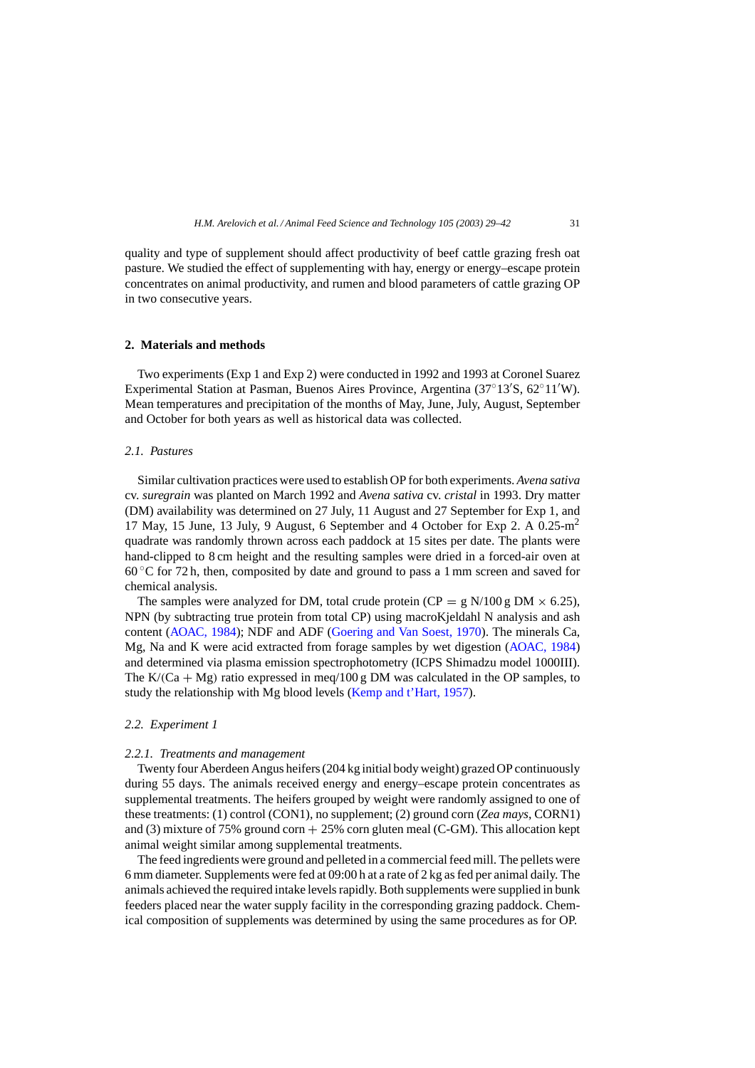quality and type of supplement should affect productivity of beef cattle grazing fresh oat pasture. We studied the effect of supplementing with hay, energy or energy–escape protein concentrates on animal productivity, and rumen and blood parameters of cattle grazing OP in two consecutive years.

## **2. Materials and methods**

Two experiments (Exp 1 and Exp 2) were conducted in 1992 and 1993 at Coronel Suarez Experimental Station at Pasman, Buenos Aires Province, Argentina (37°13′S, 62°11′W). Mean temperatures and precipitation of the months of May, June, July, August, September and October for both years as well as historical data was collected.

## *2.1. Pastures*

Similar cultivation practices were used to establish OP for both experiments. *Avena sativa* cv. *suregrain* was planted on March 1992 and *Avena sativa* cv. *cristal* in 1993. Dry matter (DM) availability was determined on 27 July, 11 August and 27 September for Exp 1, and 17 May, 15 June, 13 July, 9 August, 6 September and 4 October for Exp 2. A  $0.25 \text{m}^2$ quadrate was randomly thrown across each paddock at 15 sites per date. The plants were hand-clipped to 8 cm height and the resulting samples were dried in a forced-air oven at  $60^{\circ}$ C for 72 h, then, composited by date and ground to pass a 1 mm screen and saved for chemical analysis.

The samples were analyzed for DM, total crude protein (CP = g N/100 g DM  $\times$  6.25), NPN (by subtracting true protein from total CP) using macroKjeldahl N analysis and ash content [\(AOAC, 1984\);](#page-12-0) NDF and ADF [\(Goering and Van Soest, 1970\).](#page-12-0) The minerals Ca, Mg, Na and K were acid extracted from forage samples by wet digestion [\(AOAC, 1984\)](#page-12-0) and determined via plasma emission spectrophotometry (ICPS Shimadzu model 1000III). The K/(Ca + Mg) ratio expressed in meq/100 g DM was calculated in the OP samples, to study the relationship with Mg blood levels [\(Kemp and t'Hart, 1957\).](#page-12-0)

## *2.2. Experiment 1*

#### *2.2.1. Treatments and management*

Twenty four Aberdeen Angus heifers (204 kg initial body weight) grazed OP continuously during 55 days. The animals received energy and energy–escape protein concentrates as supplemental treatments. The heifers grouped by weight were randomly assigned to one of these treatments: (1) control (CON1), no supplement; (2) ground corn (*Zea mays*, CORN1) and (3) mixture of 75% ground corn  $+25%$  corn gluten meal (C-GM). This allocation kept animal weight similar among supplemental treatments.

The feed ingredients were ground and pelleted in a commercial feed mill. The pellets were 6 mm diameter. Supplements were fed at 09:00 h at a rate of 2 kg as fed per animal daily. The animals achieved the required intake levels rapidly. Both supplements were supplied in bunk feeders placed near the water supply facility in the corresponding grazing paddock. Chemical composition of supplements was determined by using the same procedures as for OP.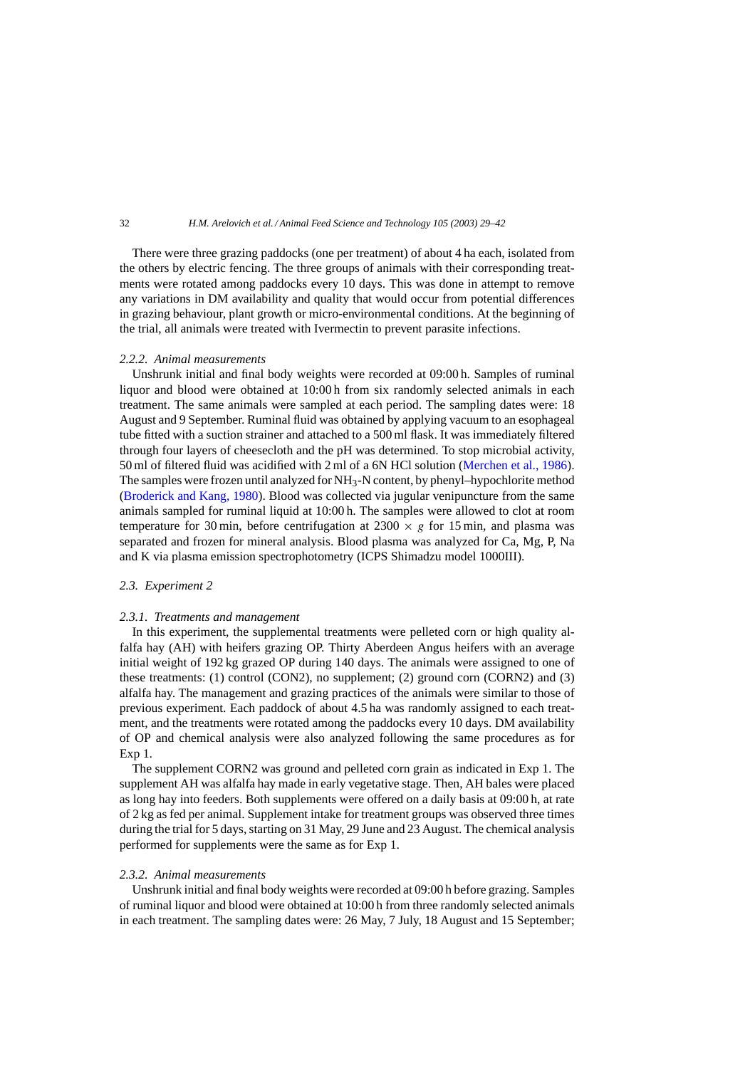There were three grazing paddocks (one per treatment) of about 4 ha each, isolated from the others by electric fencing. The three groups of animals with their corresponding treatments were rotated among paddocks every 10 days. This was done in attempt to remove any variations in DM availability and quality that would occur from potential differences in grazing behaviour, plant growth or micro-environmental conditions. At the beginning of the trial, all animals were treated with Ivermectin to prevent parasite infections.

## *2.2.2. Animal measurements*

Unshrunk initial and final body weights were recorded at 09:00 h. Samples of ruminal liquor and blood were obtained at 10:00 h from six randomly selected animals in each treatment. The same animals were sampled at each period. The sampling dates were: 18 August and 9 September. Ruminal fluid was obtained by applying vacuum to an esophageal tube fitted with a suction strainer and attached to a 500 ml flask. It was immediately filtered through four layers of cheesecloth and the pH was determined. To stop microbial activity, 50 ml of filtered fluid was acidified with 2 ml of a 6N HCl solution ([Merchen et al., 1986\).](#page-13-0) The samples were frozen until analyzed for NH3-N content, by phenyl–hypochlorite method [\(Broderick and Kang, 1980\).](#page-12-0) Blood was collected via jugular venipuncture from the same animals sampled for ruminal liquid at 10:00 h. The samples were allowed to clot at room temperature for 30 min, before centrifugation at  $2300 \times g$  for 15 min, and plasma was separated and frozen for mineral analysis. Blood plasma was analyzed for Ca, Mg, P, Na and K via plasma emission spectrophotometry (ICPS Shimadzu model 1000III).

#### *2.3. Experiment 2*

#### *2.3.1. Treatments and management*

In this experiment, the supplemental treatments were pelleted corn or high quality alfalfa hay (AH) with heifers grazing OP. Thirty Aberdeen Angus heifers with an average initial weight of 192 kg grazed OP during 140 days. The animals were assigned to one of these treatments: (1) control (CON2), no supplement; (2) ground corn (CORN2) and (3) alfalfa hay. The management and grazing practices of the animals were similar to those of previous experiment. Each paddock of about 4.5 ha was randomly assigned to each treatment, and the treatments were rotated among the paddocks every 10 days. DM availability of OP and chemical analysis were also analyzed following the same procedures as for Exp 1.

The supplement CORN2 was ground and pelleted corn grain as indicated in Exp 1. The supplement AH was alfalfa hay made in early vegetative stage. Then, AH bales were placed as long hay into feeders. Both supplements were offered on a daily basis at 09:00 h, at rate of 2 kg as fed per animal. Supplement intake for treatment groups was observed three times during the trial for 5 days, starting on 31 May, 29 June and 23 August. The chemical analysis performed for supplements were the same as for Exp 1.

### *2.3.2. Animal measurements*

Unshrunk initial and final body weights were recorded at 09:00 h before grazing. Samples of ruminal liquor and blood were obtained at 10:00 h from three randomly selected animals in each treatment. The sampling dates were: 26 May, 7 July, 18 August and 15 September;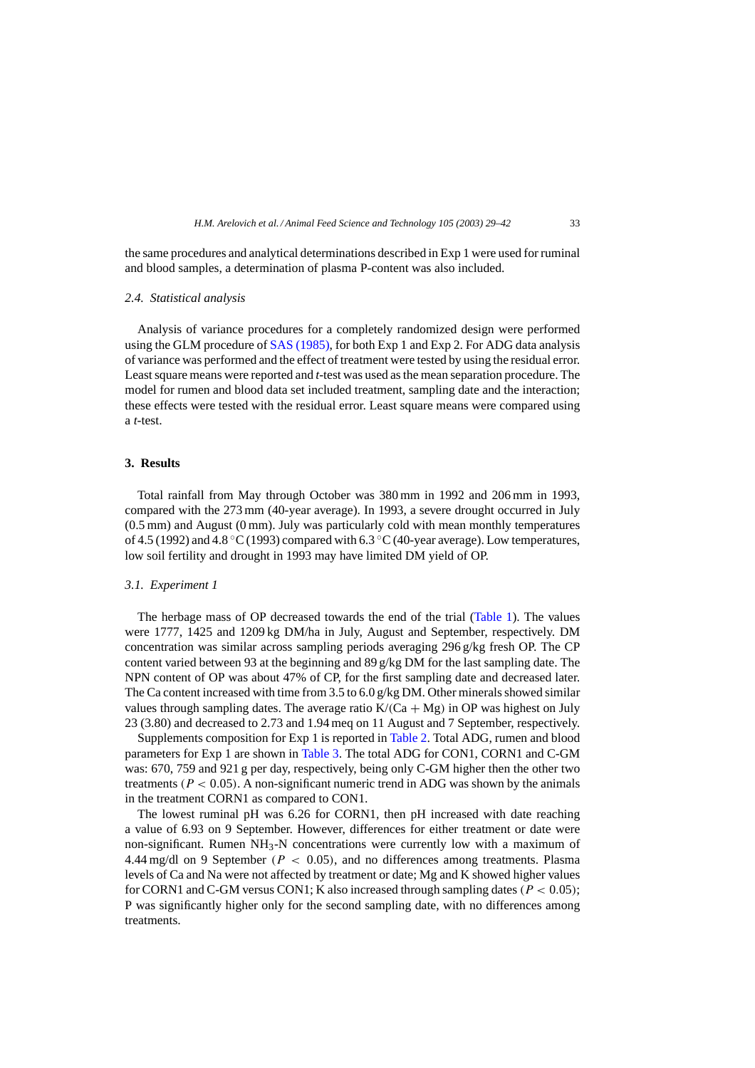the same procedures and analytical determinations described in Exp 1 were used for ruminal and blood samples, a determination of plasma P-content was also included.

#### *2.4. Statistical analysis*

Analysis of variance procedures for a completely randomized design were performed using the GLM procedure of [SAS \(1985\), f](#page-13-0)or both Exp 1 and Exp 2. For ADG data analysis of variance was performed and the effect of treatment were tested by using the residual error. Least square means were reported and *t*-test was used as the mean separation procedure. The model for rumen and blood data set included treatment, sampling date and the interaction; these effects were tested with the residual error. Least square means were compared using a *t*-test.

#### **3. Results**

Total rainfall from May through October was 380 mm in 1992 and 206 mm in 1993, compared with the 273 mm (40-year average). In 1993, a severe drought occurred in July (0.5 mm) and August (0 mm). July was particularly cold with mean monthly temperatures of 4.5 (1992) and 4.8  $\rm{°C}$  (1993) compared with 6.3  $\rm{°C}$  (40-year average). Low temperatures, low soil fertility and drought in 1993 may have limited DM yield of OP.

## *3.1. Experiment 1*

The herbage mass of OP decreased towards the end of the trial ([Table 1\).](#page-5-0) The values were 1777, 1425 and 1209 kg DM/ha in July, August and September, respectively. DM concentration was similar across sampling periods averaging 296 g/kg fresh OP. The CP content varied between 93 at the beginning and 89 g/kg DM for the last sampling date. The NPN content of OP was about 47% of CP, for the first sampling date and decreased later. The Ca content increased with time from 3.5 to  $6.0$  g/kg DM. Other minerals showed similar values through sampling dates. The average ratio  $K/(Ca + Mg)$  in OP was highest on July 23 (3.80) and decreased to 2.73 and 1.94 meq on 11 August and 7 September, respectively.

Supplements composition for Exp 1 is reported in [Table 2. T](#page-6-0)otal ADG, rumen and blood parameters for Exp 1 are shown in [Table 3.](#page-6-0) The total ADG for CON1, CORN1 and C-GM was: 670, 759 and 921 g per day, respectively, being only C-GM higher then the other two treatments ( $P < 0.05$ ). A non-significant numeric trend in ADG was shown by the animals in the treatment CORN1 as compared to CON1.

The lowest ruminal pH was 6.26 for CORN1, then pH increased with date reaching a value of 6.93 on 9 September. However, differences for either treatment or date were non-significant. Rumen NH3-N concentrations were currently low with a maximum of 4.44 mg/dl on 9 September ( $P < 0.05$ ), and no differences among treatments. Plasma levels of Ca and Na were not affected by treatment or date; Mg and K showed higher values for CORN1 and C-GM versus CON1; K also increased through sampling dates ( $P < 0.05$ ); P was significantly higher only for the second sampling date, with no differences among treatments.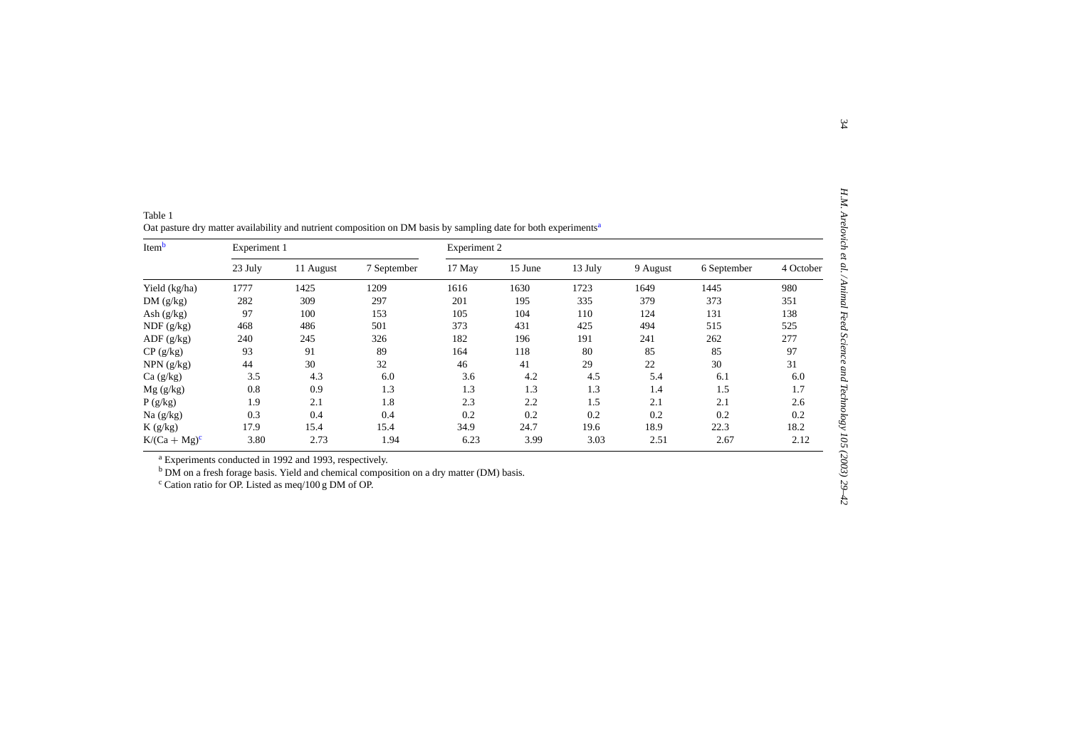<span id="page-5-0"></span>

| Itemb            | Experiment 1 |           |             | Experiment 2 |         |         |          |             |           |  |
|------------------|--------------|-----------|-------------|--------------|---------|---------|----------|-------------|-----------|--|
|                  | 23 July      | 11 August | 7 September | 17 May       | 15 June | 13 July | 9 August | 6 September | 4 October |  |
| Yield (kg/ha)    | 1777         | 1425      | 1209        | 1616         | 1630    | 1723    | 1649     | 1445        | 980       |  |
| DM(g/kg)         | 282          | 309       | 297         | 201          | 195     | 335     | 379      | 373         | 351       |  |
| Ash $(g/kg)$     | 97           | 100       | 153         | 105          | 104     | 110     | 124      | 131         | 138       |  |
| NDF(g/kg)        | 468          | 486       | 501         | 373          | 431     | 425     | 494      | 515         | 525       |  |
| ADF(g/kg)        | 240          | 245       | 326         | 182          | 196     | 191     | 241      | 262         | 277       |  |
| $CP$ (g/kg)      | 93           | 91        | 89          | 164          | 118     | 80      | 85       | 85          | 97        |  |
| $NPN$ ( $g/kg$ ) | 44           | 30        | 32          | 46           | 41      | 29      | 22       | 30          | 31        |  |
| Ca(g/kg)         | 3.5          | 4.3       | 6.0         | 3.6          | 4.2     | 4.5     | 5.4      | 6.1         | 6.0       |  |
| Mg(g/kg)         | 0.8          | 0.9       | 1.3         | 1.3          | 1.3     | 1.3     | 1.4      | 1.5         | 1.7       |  |
| P(g/kg)          | 1.9          | 2.1       | 1.8         | 2.3          | 2.2     | 1.5     | 2.1      | 2.1         | 2.6       |  |
| Na $(g/kg)$      | 0.3          | 0.4       | 0.4         | 0.2          | 0.2     | 0.2     | 0.2      | 0.2         | 0.2       |  |
| K(g/kg)          | 17.9         | 15.4      | 15.4        | 34.9         | 24.7    | 19.6    | 18.9     | 22.3        | 18.2      |  |
| $K/(Ca + Mg)^c$  | 3.80         | 2.73      | 1.94        | 6.23         | 3.99    | 3.03    | 2.51     | 2.67        | 2.12      |  |

| Table 1                                                                                                                     |  |  |
|-----------------------------------------------------------------------------------------------------------------------------|--|--|
| Oat pasture dry matter availability and nutrient composition on DM basis by sampling date for both experiments <sup>a</sup> |  |  |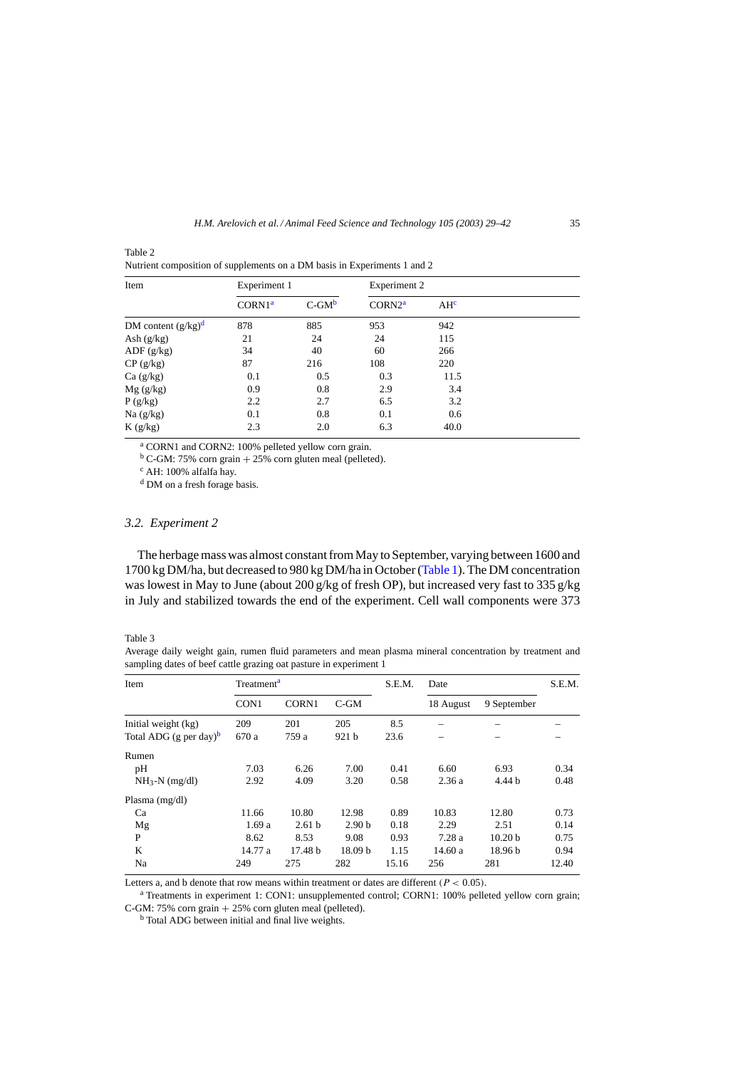| Item                  | Experiment 1       |             | Experiment 2       |                 |  |
|-----------------------|--------------------|-------------|--------------------|-----------------|--|
|                       | CORNI <sup>a</sup> | $C$ -GM $b$ | CORN2 <sup>a</sup> | AH <sup>c</sup> |  |
| DM content $(g/kg)^d$ | 878                | 885         | 953                | 942             |  |
| Ash $(g/kg)$          | 21                 | 24          | 24                 | 115             |  |
| ADF(g/kg)             | 34                 | 40          | 60                 | 266             |  |
| CP(g/kg)              | 87                 | 216         | 108                | 220             |  |
| Ca(g/kg)              | 0.1                | 0.5         | 0.3                | 11.5            |  |
| Mg(g/kg)              | 0.9                | 0.8         | 2.9                | 3.4             |  |
| P(g/kg)               | 2.2                | 2.7         | 6.5                | 3.2             |  |
| Na $(g/kg)$           | 0.1                | 0.8         | 0.1                | 0.6             |  |
| K(g/kg)               | 2.3                | 2.0         | 6.3                | 40.0            |  |

<span id="page-6-0"></span>Table 2 Nutrient composition of supplements on a DM basis in Experiments 1 and 2

<sup>a</sup> CORN1 and CORN2: 100% pelleted yellow corn grain.

 $b$  C-GM: 75% corn grain + 25% corn gluten meal (pelleted).<br><sup>c</sup> AH: 100% alfalfa hay.

<sup>d</sup> DM on a fresh forage basis.

#### *3.2. Experiment 2*

The herbage mass was almost constant from May to September, varying between 1600 and 1700 kg DM/ha, but decreased to 980 kg DM/ha in October [\(Table 1\).](#page-5-0) The DM concentration was lowest in May to June (about 200 g/kg of fresh OP), but increased very fast to 335 g/kg in July and stabilized towards the end of the experiment. Cell wall components were 373

#### Table 3

Average daily weight gain, rumen fluid parameters and mean plasma mineral concentration by treatment and sampling dates of beef cattle grazing oat pasture in experiment 1

| Item                               | Treatment <sup>a</sup> |                   |                    | S.E.M. | Date      |                    | S.E.M. |
|------------------------------------|------------------------|-------------------|--------------------|--------|-----------|--------------------|--------|
|                                    | CON1                   | <b>CORN1</b>      | $C$ -GM            |        | 18 August | 9 September        |        |
| Initial weight (kg)                | 209                    | 201               | 205                | 8.5    |           |                    |        |
| Total ADG (g per day) <sup>b</sup> | 670 a                  | 759 a             | 921 <sub>b</sub>   | 23.6   |           |                    |        |
| Rumen                              |                        |                   |                    |        |           |                    |        |
| pH                                 | 7.03                   | 6.26              | 7.00               | 0.41   | 6.60      | 6.93               | 0.34   |
| $NH_3-N$ (mg/dl)                   | 2.92                   | 4.09              | 3.20               | 0.58   | 2.36a     | 4.44 b             | 0.48   |
| Plasma $(mg/dl)$                   |                        |                   |                    |        |           |                    |        |
| Ca                                 | 11.66                  | 10.80             | 12.98              | 0.89   | 10.83     | 12.80              | 0.73   |
| Mg                                 | 1.69a                  | 2.61 <sub>b</sub> | 2.90 <sub>b</sub>  | 0.18   | 2.29      | 2.51               | 0.14   |
| P                                  | 8.62                   | 8.53              | 9.08               | 0.93   | 7.28a     | 10.20 <sub>b</sub> | 0.75   |
| K                                  | 14.77 a                | 17.48 h           | 18.09 <sub>b</sub> | 1.15   | 14.60a    | 18.96 <sub>b</sub> | 0.94   |
| Na                                 | 249                    | 275               | 282                | 15.16  | 256       | 281                | 12.40  |

Letters a, and b denote that row means within treatment or dates are different ( $P < 0.05$ ).

<sup>a</sup> Treatments in experiment 1: CON1: unsupplemented control; CORN1: 100% pelleted yellow corn grain; C-GM: 75% corn grain  $+ 25%$  corn gluten meal (pelleted).<br><sup>b</sup> Total ADG between initial and final live weights.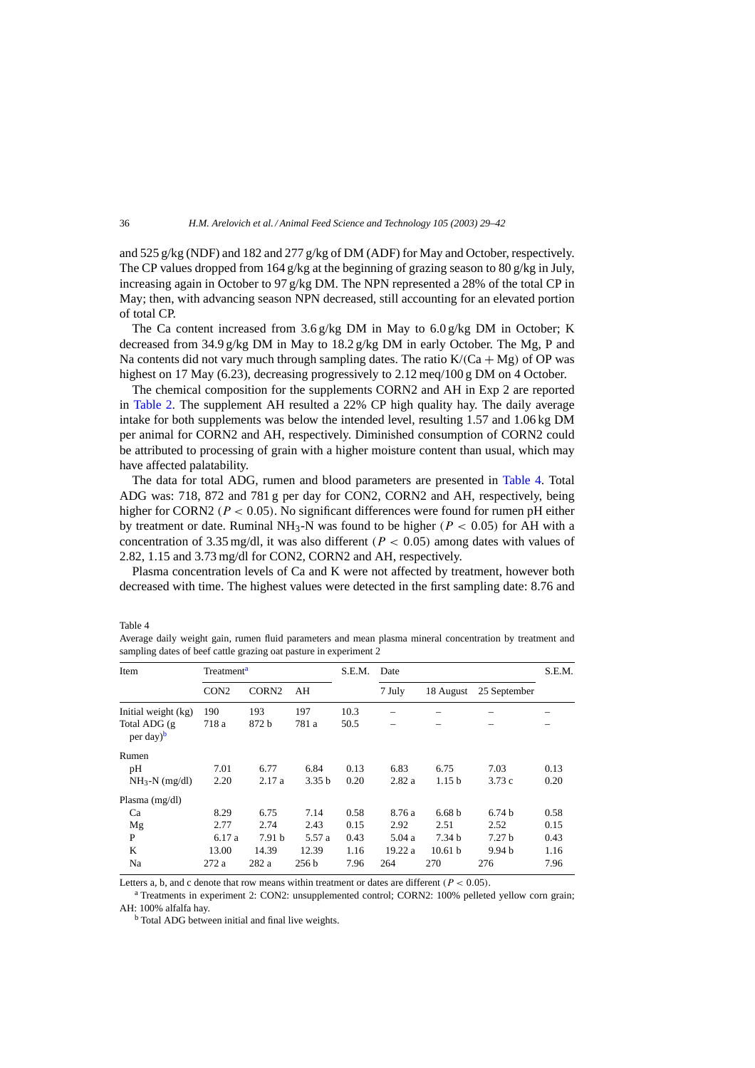and 525 g/kg (NDF) and 182 and 277 g/kg of DM (ADF) for May and October, respectively. The CP values dropped from 164 g/kg at the beginning of grazing season to 80 g/kg in July, increasing again in October to 97 g/kg DM. The NPN represented a 28% of the total CP in May; then, with advancing season NPN decreased, still accounting for an elevated portion of total CP.

The Ca content increased from  $3.6 \frac{\text{g}}{\text{kg}}$  DM in May to  $6.0 \frac{\text{g}}{\text{kg}}$  DM in October; K decreased from 34.9 g/kg DM in May to 18.2 g/kg DM in early October. The Mg, P and Na contents did not vary much through sampling dates. The ratio  $K/(Ca + Mg)$  of OP was highest on 17 May (6.23), decreasing progressively to 2.12 meq/100 g DM on 4 October.

The chemical composition for the supplements CORN2 and AH in Exp 2 are reported in [Table 2.](#page-6-0) The supplement AH resulted a 22% CP high quality hay. The daily average intake for both supplements was below the intended level, resulting 1.57 and 1.06 kg DM per animal for CORN2 and AH, respectively. Diminished consumption of CORN2 could be attributed to processing of grain with a higher moisture content than usual, which may have affected palatability.

The data for total ADG, rumen and blood parameters are presented in Table 4. Total ADG was: 718, 872 and 781 g per day for CON2, CORN2 and AH, respectively, being higher for CORN2 ( $P < 0.05$ ). No significant differences were found for rumen pH either by treatment or date. Ruminal NH<sub>3</sub>-N was found to be higher ( $P < 0.05$ ) for AH with a concentration of 3.35 mg/dl, it was also different ( $P < 0.05$ ) among dates with values of 2.82, 1.15 and 3.73 mg/dl for CON2, CORN2 and AH, respectively.

Plasma concentration levels of Ca and K were not affected by treatment, however both decreased with time. The highest values were detected in the first sampling date: 8.76 and

| Item                                   | Treatment <sup>a</sup>                |                   |                   | S.E.M. | Date   |                    |                   | S.E.M. |
|----------------------------------------|---------------------------------------|-------------------|-------------------|--------|--------|--------------------|-------------------|--------|
|                                        | CORN <sub>2</sub><br>CON <sub>2</sub> |                   | AΗ                |        | 7 July | 18 August          | 25 September      |        |
| Initial weight (kg)                    | 190                                   | 193               | 197               | 10.3   |        |                    |                   |        |
| Total ADG (g)<br>per day) <sup>b</sup> | 718 a                                 | 872 b             | 781 a             | 50.5   |        |                    |                   |        |
| Rumen                                  |                                       |                   |                   |        |        |                    |                   |        |
| pH                                     | 7.01                                  | 6.77              | 6.84              | 0.13   | 6.83   | 6.75               | 7.03              | 0.13   |
| $NH_3-N$ (mg/dl)                       | 2.20                                  | 2.17a             | 3.35 <sub>b</sub> | 0.20   | 2.82a  | 1.15 <sub>b</sub>  | 3.73c             | 0.20   |
| Plasma $(mg/dl)$                       |                                       |                   |                   |        |        |                    |                   |        |
| Ca                                     | 8.29                                  | 6.75              | 7.14              | 0.58   | 8.76 a | 6.68 <sub>b</sub>  | 6.74 <sub>b</sub> | 0.58   |
| Mg                                     | 2.77                                  | 2.74              | 2.43              | 0.15   | 2.92   | 2.51               | 2.52              | 0.15   |
| P                                      | 6.17 a                                | 7.91 <sub>b</sub> | 5.57 a            | 0.43   | 5.04a  | 7.34 <sub>b</sub>  | 7.27 <sub>b</sub> | 0.43   |
| K                                      | 13.00                                 | 14.39             | 12.39             | 1.16   | 19.22a | 10.61 <sub>b</sub> | 9.94 <sub>b</sub> | 1.16   |
| Na                                     | 272a                                  | 282 a             | 256 b             | 7.96   | 264    | 270                | 276               | 7.96   |

Average daily weight gain, rumen fluid parameters and mean plasma mineral concentration by treatment and sampling dates of beef cattle grazing oat pasture in experiment 2

Letters a, b, and c denote that row means within treatment or dates are different ( $P < 0.05$ ).

<sup>a</sup> Treatments in experiment 2: CON2: unsupplemented control; CORN2: 100% pelleted yellow corn grain; AH: 100% alfalfa hay.

<sup>b</sup> Total ADG between initial and final live weights.

Table 4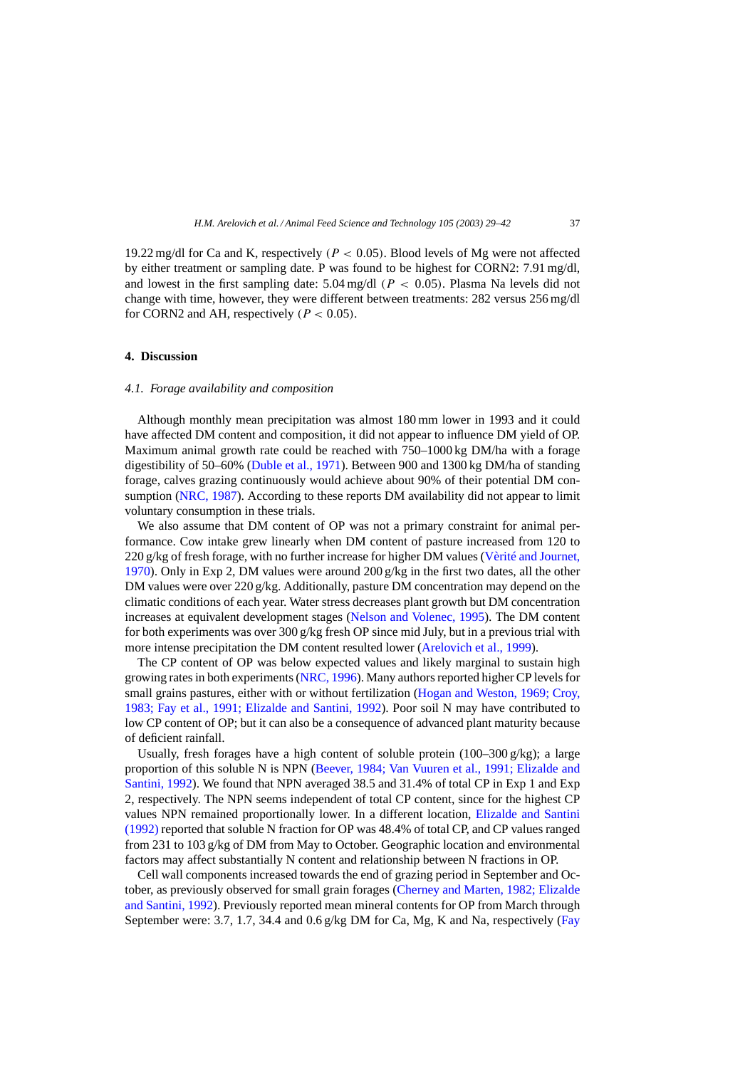19.22 mg/dl for Ca and K, respectively ( $P < 0.05$ ). Blood levels of Mg were not affected by either treatment or sampling date. P was found to be highest for CORN2: 7.91 mg/dl, and lowest in the first sampling date:  $5.04 \text{ mg/dl}$  ( $P < 0.05$ ). Plasma Na levels did not change with time, however, they were different between treatments: 282 versus 256 mg/dl for CORN2 and AH, respectively ( $P < 0.05$ ).

## **4. Discussion**

#### *4.1. Forage availability and composition*

Although monthly mean precipitation was almost 180 mm lower in 1993 and it could have affected DM content and composition, it did not appear to influence DM yield of OP. Maximum animal growth rate could be reached with 750–1000 kg DM/ha with a forage digestibility of 50–60% [\(Duble et al., 1971\).](#page-12-0) Between 900 and 1300 kg DM/ha of standing forage, calves grazing continuously would achieve about 90% of their potential DM con-sumption [\(NRC, 1987\).](#page-13-0) According to these reports DM availability did not appear to limit voluntary consumption in these trials.

We also assume that DM content of OP was not a primary constraint for animal performance. Cow intake grew linearly when DM content of pasture increased from 120 to 220 g/kg of fresh forage, with no further increase for higher DM values [\(Vèrité and Journet,](#page-13-0) [1970\).](#page-13-0) Only in Exp 2, DM values were around 200 g/kg in the first two dates, all the other DM values were over 220 g/kg. Additionally, pasture DM concentration may depend on the climatic conditions of each year. Water stress decreases plant growth but DM concentration increases at equivalent development stages [\(Nelson and Volenec, 1995\).](#page-13-0) The DM content for both experiments was over 300 g/kg fresh OP since mid July, but in a previous trial with more intense precipitation the DM content resulted lower [\(Arelovich et al., 1999\).](#page-12-0)

The CP content of OP was below expected values and likely marginal to sustain high growing rates in both experiments ([NRC, 1996\).](#page-13-0) Many authors reported higher CP levels for small grains pastures, either with or without fertilization [\(Hogan and Weston, 1969; Croy,](#page-12-0) [1983; Fay et al., 1991; Elizalde and Santini, 1992\)](#page-12-0). Poor soil N may have contributed to low CP content of OP; but it can also be a consequence of advanced plant maturity because of deficient rainfall.

Usually, fresh forages have a high content of soluble protein (100–300 g/kg); a large proportion of this soluble N is NPN ([Beever, 1984; Van Vuuren et al., 1991; Elizalde and](#page-12-0) [Santini, 1992\).](#page-12-0) We found that NPN averaged 38.5 and 31.4% of total CP in Exp 1 and Exp 2, respectively. The NPN seems independent of total CP content, since for the highest CP values NPN remained proportionally lower. In a different location, [Elizalde and Santini](#page-12-0) [\(1992\)](#page-12-0) reported that soluble N fraction for OP was 48.4% of total CP, and CP values ranged from 231 to 103 g/kg of DM from May to October. Geographic location and environmental factors may affect substantially N content and relationship between N fractions in OP.

Cell wall components increased towards the end of grazing period in September and October, as previously observed for small grain forages ([Cherney and Marten, 1982; Elizalde](#page-12-0) [and Santini, 1992\).](#page-12-0) Previously reported mean mineral contents for OP from March through September were: 3.7, 1.7, 34.4 and 0.6 g/kg DM for Ca, Mg, K and Na, respectively [\(Fay](#page-12-0)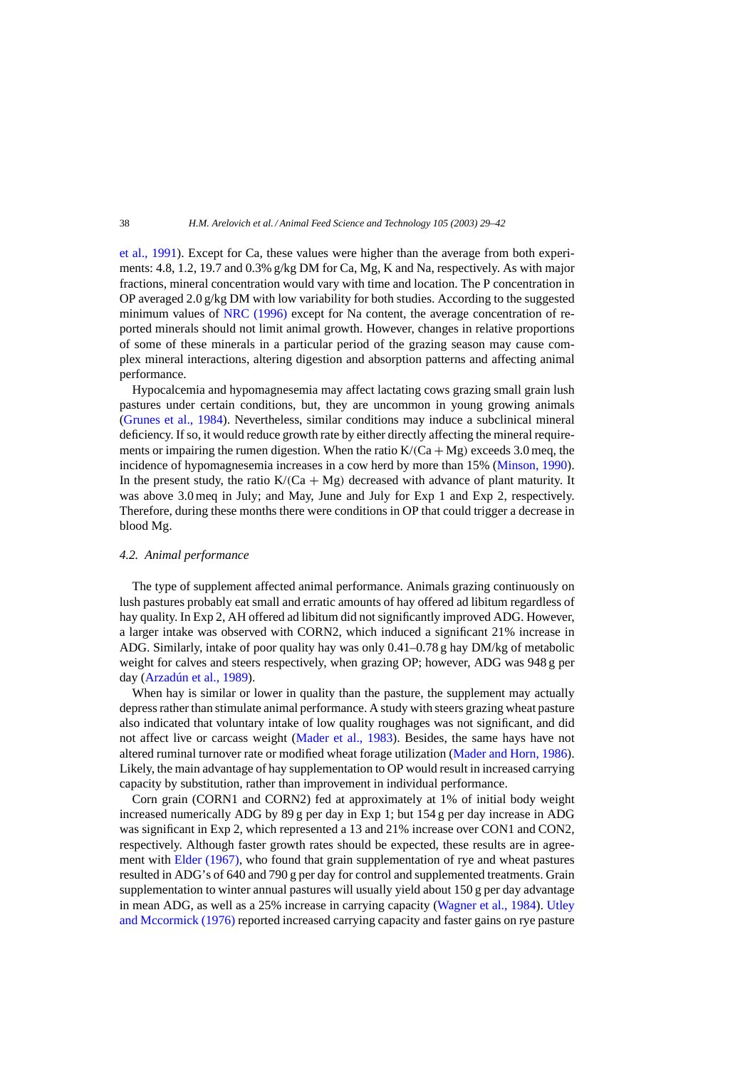[et al., 1991\).](#page-12-0) Except for Ca, these values were higher than the average from both experiments: 4.8, 1.2, 19.7 and 0.3% g/kg DM for Ca, Mg, K and Na, respectively. As with major fractions, mineral concentration would vary with time and location. The P concentration in OP averaged 2.0 g/kg DM with low variability for both studies. According to the suggested minimum values of [NRC \(1996\)](#page-13-0) except for Na content, the average concentration of reported minerals should not limit animal growth. However, changes in relative proportions of some of these minerals in a particular period of the grazing season may cause complex mineral interactions, altering digestion and absorption patterns and affecting animal performance.

Hypocalcemia and hypomagnesemia may affect lactating cows grazing small grain lush pastures under certain conditions, but, they are uncommon in young growing animals [\(Grunes et al., 1984\)](#page-12-0). Nevertheless, similar conditions may induce a subclinical mineral deficiency. If so, it would reduce growth rate by either directly affecting the mineral requirements or impairing the rumen digestion. When the ratio  $K/(Ca + Mg)$  exceeds 3.0 meq, the incidence of hypomagnesemia increases in a cow herd by more than 15% ([Minson, 1990\).](#page-13-0) In the present study, the ratio  $K/(Ca + Mg)$  decreased with advance of plant maturity. It was above 3.0 meq in July; and May, June and July for Exp 1 and Exp 2, respectively. Therefore, during these months there were conditions in OP that could trigger a decrease in blood Mg.

#### *4.2. Animal performance*

The type of supplement affected animal performance. Animals grazing continuously on lush pastures probably eat small and erratic amounts of hay offered ad libitum regardless of hay quality. In Exp 2, AH offered ad libitum did not significantly improved ADG. However, a larger intake was observed with CORN2, which induced a significant 21% increase in ADG. Similarly, intake of poor quality hay was only 0.41–0.78 g hay DM/kg of metabolic weight for calves and steers respectively, when grazing OP; however, ADG was 948 g per day [\(Arzadún et al., 1989\).](#page-12-0)

When hay is similar or lower in quality than the pasture, the supplement may actually depress rather than stimulate animal performance. A study with steers grazing wheat pasture also indicated that voluntary intake of low quality roughages was not significant, and did not affect live or carcass weight [\(Mader et al., 1983\)](#page-12-0). Besides, the same hays have not altered ruminal turnover rate or modified wheat forage utilization [\(Mader and Horn, 1986\).](#page-12-0) Likely, the main advantage of hay supplementation to OP would result in increased carrying capacity by substitution, rather than improvement in individual performance.

Corn grain (CORN1 and CORN2) fed at approximately at 1% of initial body weight increased numerically ADG by 89 g per day in Exp 1; but 154 g per day increase in ADG was significant in Exp 2, which represented a 13 and 21% increase over CON1 and CON2, respectively. Although faster growth rates should be expected, these results are in agreement with [Elder \(1967\),](#page-12-0) who found that grain supplementation of rye and wheat pastures resulted in ADG's of 640 and 790 g per day for control and supplemented treatments. Grain supplementation to winter annual pastures will usually yield about 150 g per day advantage in mean ADG, as well as a 25% increase in carrying capacity ([Wagner et al., 1984\).](#page-13-0) [Utley](#page-13-0) [and Mccormick \(1976\)](#page-13-0) reported increased carrying capacity and faster gains on rye pasture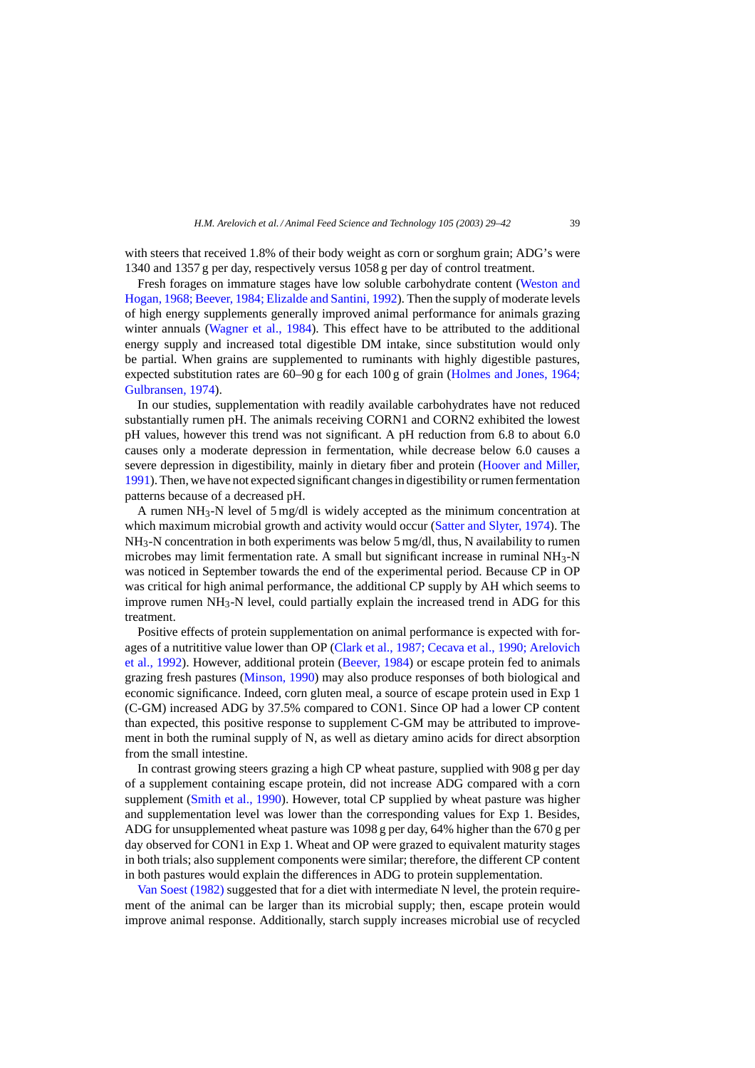with steers that received 1.8% of their body weight as corn or sorghum grain; ADG's were 1340 and 1357 g per day, respectively versus 1058 g per day of control treatment.

Fresh forages on immature stages have low soluble carbohydrate content [\(Weston and](#page-13-0) [Hogan, 1968; Beever, 1984; Elizalde and Santini, 1992\). T](#page-13-0)hen the supply of moderate levels of high energy supplements generally improved animal performance for animals grazing winter annuals ([Wagner et al., 1984\)](#page-13-0). This effect have to be attributed to the additional energy supply and increased total digestible DM intake, since substitution would only be partial. When grains are supplemented to ruminants with highly digestible pastures, expected substitution rates are 60–90 g for each 100 g of grain ([Holmes and Jones, 1964;](#page-12-0) [Gulbransen, 1974\).](#page-12-0)

In our studies, supplementation with readily available carbohydrates have not reduced substantially rumen pH. The animals receiving CORN1 and CORN2 exhibited the lowest pH values, however this trend was not significant. A pH reduction from 6.8 to about 6.0 causes only a moderate depression in fermentation, while decrease below 6.0 causes a severe depression in digestibility, mainly in dietary fiber and protein [\(Hoover and Miller,](#page-12-0) [1991\).](#page-12-0) Then, we have not expected significant changes in digestibility or rumen fermentation patterns because of a decreased pH.

A rumen  $NH_3-N$  level of 5 mg/dl is widely accepted as the minimum concentration at which maximum microbial growth and activity would occur ([Satter and Slyter, 1974\).](#page-13-0) The  $NH<sub>3</sub>-N$  concentration in both experiments was below 5 mg/dl, thus, N availability to rumen microbes may limit fermentation rate. A small but significant increase in ruminal  $NH_3-N$ was noticed in September towards the end of the experimental period. Because CP in OP was critical for high animal performance, the additional CP supply by AH which seems to improve rumen  $NH_3-N$  level, could partially explain the increased trend in ADG for this treatment.

Positive effects of protein supplementation on animal performance is expected with forages of a nutrititive value lower than OP ([Clark et al., 1987; Cecava et al., 1990; Arelovich](#page-12-0) [et al., 1992\).](#page-12-0) However, additional protein ([Beever, 1984\)](#page-12-0) or escape protein fed to animals grazing fresh pastures [\(Minson, 1990\)](#page-13-0) may also produce responses of both biological and economic significance. Indeed, corn gluten meal, a source of escape protein used in Exp 1 (C-GM) increased ADG by 37.5% compared to CON1. Since OP had a lower CP content than expected, this positive response to supplement C-GM may be attributed to improvement in both the ruminal supply of N, as well as dietary amino acids for direct absorption from the small intestine.

In contrast growing steers grazing a high CP wheat pasture, supplied with 908 g per day of a supplement containing escape protein, did not increase ADG compared with a corn supplement [\(Smith et al., 1990\).](#page-13-0) However, total CP supplied by wheat pasture was higher and supplementation level was lower than the corresponding values for Exp 1. Besides, ADG for unsupplemented wheat pasture was 1098 g per day, 64% higher than the 670 g per day observed for CON1 in Exp 1. Wheat and OP were grazed to equivalent maturity stages in both trials; also supplement components were similar; therefore, the different CP content in both pastures would explain the differences in ADG to protein supplementation.

[Van Soest \(1982\)](#page-13-0) suggested that for a diet with intermediate N level, the protein requirement of the animal can be larger than its microbial supply; then, escape protein would improve animal response. Additionally, starch supply increases microbial use of recycled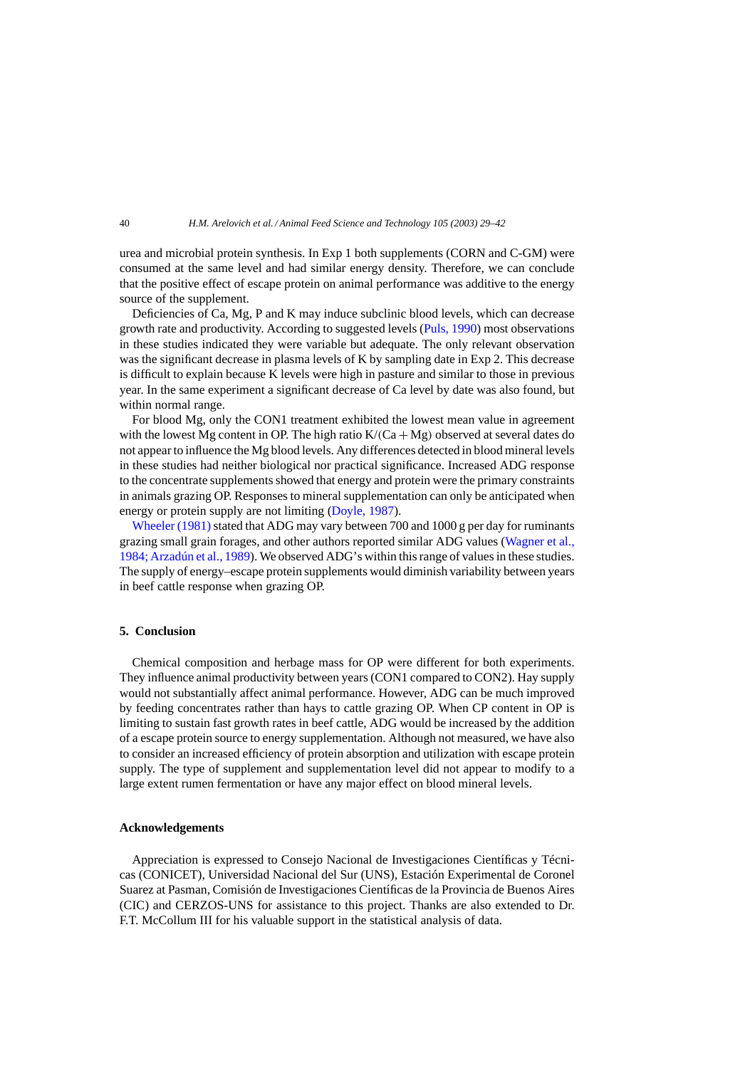urea and microbial protein synthesis. In Exp 1 both supplements (CORN and C-GM) were consumed at the same level and had similar energy density. Therefore, we can conclude that the positive effect of escape protein on animal performance was additive to the energy source of the supplement.

Deficiencies of Ca, Mg, P and K may induce subclinic blood levels, which can decrease growth rate and productivity. According to suggested levels [\(Puls, 1990\)](#page-13-0) most observations in these studies indicated they were variable but adequate. The only relevant observation was the significant decrease in plasma levels of K by sampling date in Exp 2. This decrease is difficult to explain because K levels were high in pasture and similar to those in previous year. In the same experiment a significant decrease of Ca level by date was also found, but within normal range.

For blood Mg, only the CON1 treatment exhibited the lowest mean value in agreement with the lowest Mg content in OP. The high ratio  $K/(Ca + Mg)$  observed at several dates do not appear to influence the Mg blood levels. Any differences detected in blood mineral levels in these studies had neither biological nor practical significance. Increased ADG response to the concentrate supplements showed that energy and protein were the primary constraints in animals grazing OP. Responses to mineral supplementation can only be anticipated when energy or protein supply are not limiting [\(Doyle, 1987\).](#page-12-0)

Wheeler  $(1981)$  stated that ADG may vary between 700 and 1000 g per day for ruminants grazing small grain forages, and other authors reported similar ADG values [\(Wagner et al.,](#page-13-0) [1984; Arzadún et al., 1989\). W](#page-13-0)e observed ADG's within this range of values in these studies. The supply of energy–escape protein supplements would diminish variability between years in beef cattle response when grazing OP.

#### **5. Conclusion**

Chemical composition and herbage mass for OP were different for both experiments. They influence animal productivity between years (CON1 compared to CON2). Hay supply would not substantially affect animal performance. However, ADG can be much improved by feeding concentrates rather than hays to cattle grazing OP. When CP content in OP is limiting to sustain fast growth rates in beef cattle, ADG would be increased by the addition of a escape protein source to energy supplementation. Although not measured, we have also to consider an increased efficiency of protein absorption and utilization with escape protein supply. The type of supplement and supplementation level did not appear to modify to a large extent rumen fermentation or have any major effect on blood mineral levels.

#### **Acknowledgements**

Appreciation is expressed to Consejo Nacional de Investigaciones Científicas y Técnicas (CONICET), Universidad Nacional del Sur (UNS), Estación Experimental de Coronel Suarez at Pasman, Comisión de Investigaciones Científicas de la Provincia de Buenos Aires (CIC) and CERZOS-UNS for assistance to this project. Thanks are also extended to Dr. F.T. McCollum III for his valuable support in the statistical analysis of data.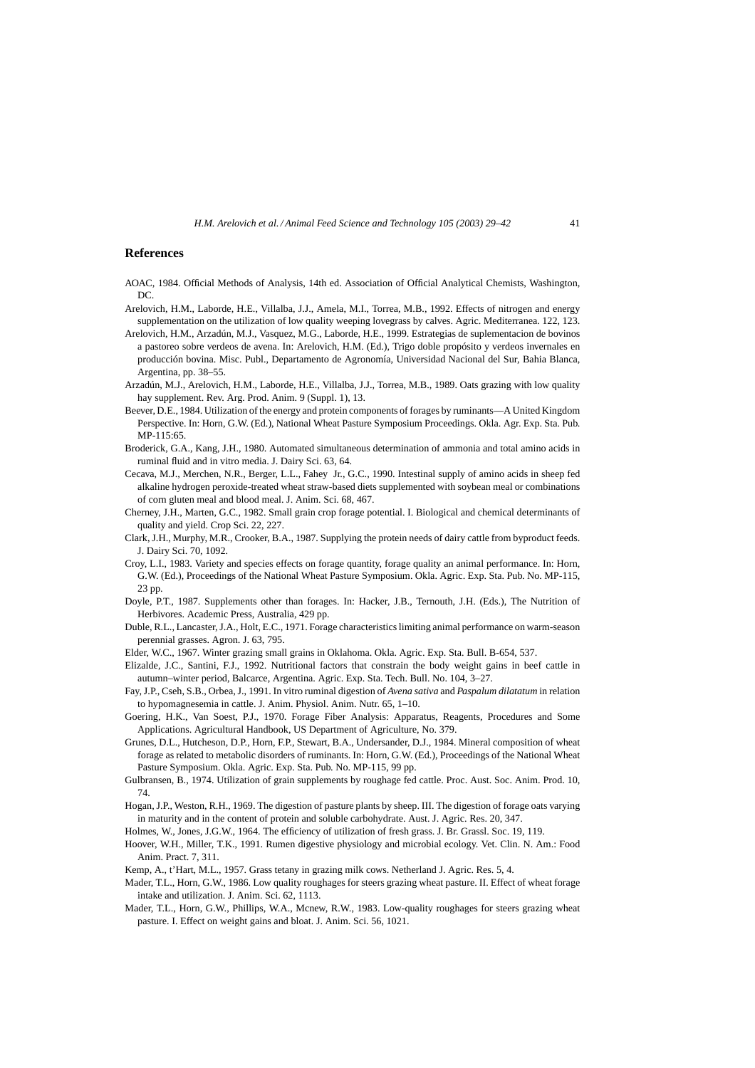## <span id="page-12-0"></span>**References**

- AOAC, 1984. Official Methods of Analysis, 14th ed. Association of Official Analytical Chemists, Washington,  $DC$
- Arelovich, H.M., Laborde, H.E., Villalba, J.J., Amela, M.I., Torrea, M.B., 1992. Effects of nitrogen and energy supplementation on the utilization of low quality weeping lovegrass by calves. Agric. Mediterranea. 122, 123.
- Arelovich, H.M., Arzadún, M.J., Vasquez, M.G., Laborde, H.E., 1999. Estrategias de suplementacion de bovinos a pastoreo sobre verdeos de avena. In: Arelovich, H.M. (Ed.), Trigo doble propósito y verdeos invernales en producción bovina. Misc. Publ., Departamento de Agronomía, Universidad Nacional del Sur, Bahia Blanca, Argentina, pp. 38–55.
- Arzadún, M.J., Arelovich, H.M., Laborde, H.E., Villalba, J.J., Torrea, M.B., 1989. Oats grazing with low quality hay supplement. Rev. Arg. Prod. Anim. 9 (Suppl. 1), 13.
- Beever, D.E., 1984. Utilization of the energy and protein components of forages by ruminants—A United Kingdom Perspective. In: Horn, G.W. (Ed.), National Wheat Pasture Symposium Proceedings. Okla. Agr. Exp. Sta. Pub. MP-115:65.
- Broderick, G.A., Kang, J.H., 1980. Automated simultaneous determination of ammonia and total amino acids in ruminal fluid and in vitro media. J. Dairy Sci. 63, 64.
- Cecava, M.J., Merchen, N.R., Berger, L.L., Fahey Jr., G.C., 1990. Intestinal supply of amino acids in sheep fed alkaline hydrogen peroxide-treated wheat straw-based diets supplemented with soybean meal or combinations of corn gluten meal and blood meal. J. Anim. Sci. 68, 467.
- Cherney, J.H., Marten, G.C., 1982. Small grain crop forage potential. I. Biological and chemical determinants of quality and yield. Crop Sci. 22, 227.
- Clark, J.H., Murphy, M.R., Crooker, B.A., 1987. Supplying the protein needs of dairy cattle from byproduct feeds. J. Dairy Sci. 70, 1092.
- Croy, L.I., 1983. Variety and species effects on forage quantity, forage quality an animal performance. In: Horn, G.W. (Ed.), Proceedings of the National Wheat Pasture Symposium. Okla. Agric. Exp. Sta. Pub. No. MP-115, 23 pp.
- Doyle, P.T., 1987. Supplements other than forages. In: Hacker, J.B., Ternouth, J.H. (Eds.), The Nutrition of Herbivores. Academic Press, Australia, 429 pp.
- Duble, R.L., Lancaster, J.A., Holt, E.C., 1971. Forage characteristics limiting animal performance on warm-season perennial grasses. Agron. J. 63, 795.
- Elder, W.C., 1967. Winter grazing small grains in Oklahoma. Okla. Agric. Exp. Sta. Bull. B-654, 537.
- Elizalde, J.C., Santini, F.J., 1992. Nutritional factors that constrain the body weight gains in beef cattle in autumn–winter period, Balcarce, Argentina. Agric. Exp. Sta. Tech. Bull. No. 104, 3–27.
- Fay, J.P., Cseh, S.B., Orbea, J., 1991. In vitro ruminal digestion of *Avena sativa* and *Paspalum dilatatum* in relation to hypomagnesemia in cattle. J. Anim. Physiol. Anim. Nutr. 65, 1–10.
- Goering, H.K., Van Soest, P.J., 1970. Forage Fiber Analysis: Apparatus, Reagents, Procedures and Some Applications. Agricultural Handbook, US Department of Agriculture, No. 379.
- Grunes, D.L., Hutcheson, D.P., Horn, F.P., Stewart, B.A., Undersander, D.J., 1984. Mineral composition of wheat forage as related to metabolic disorders of ruminants. In: Horn, G.W. (Ed.), Proceedings of the National Wheat Pasture Symposium. Okla. Agric. Exp. Sta. Pub. No. MP-115, 99 pp.
- Gulbransen, B., 1974. Utilization of grain supplements by roughage fed cattle. Proc. Aust. Soc. Anim. Prod. 10, 74.
- Hogan, J.P., Weston, R.H., 1969. The digestion of pasture plants by sheep. III. The digestion of forage oats varying in maturity and in the content of protein and soluble carbohydrate. Aust. J. Agric. Res. 20, 347.
- Holmes, W., Jones, J.G.W., 1964. The efficiency of utilization of fresh grass. J. Br. Grassl. Soc. 19, 119.
- Hoover, W.H., Miller, T.K., 1991. Rumen digestive physiology and microbial ecology. Vet. Clin. N. Am.: Food Anim. Pract. 7, 311.
- Kemp, A., t'Hart, M.L., 1957. Grass tetany in grazing milk cows. Netherland J. Agric. Res. 5, 4.
- Mader, T.L., Horn, G.W., 1986. Low quality roughages for steers grazing wheat pasture. II. Effect of wheat forage intake and utilization. J. Anim. Sci. 62, 1113.
- Mader, T.L., Horn, G.W., Phillips, W.A., Mcnew, R.W., 1983. Low-quality roughages for steers grazing wheat pasture. I. Effect on weight gains and bloat. J. Anim. Sci. 56, 1021.